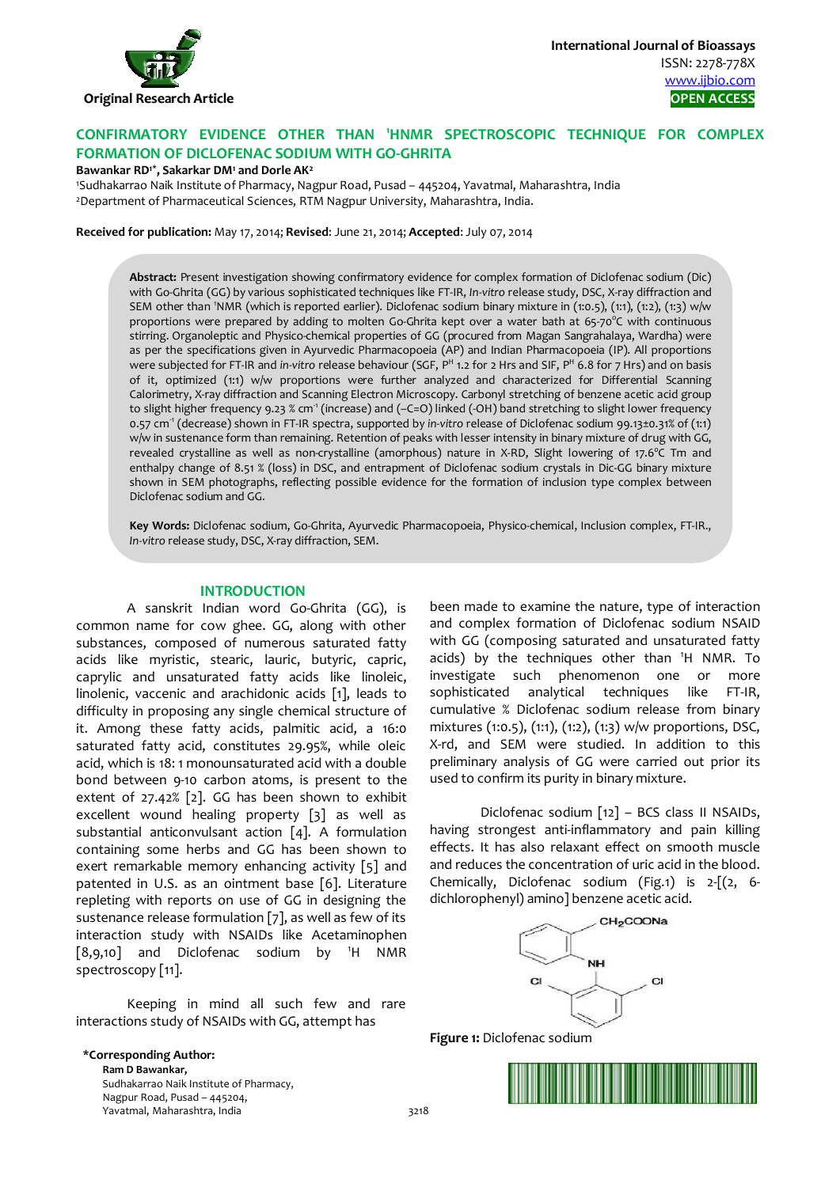

# **CONFIRMATORY EVIDENCE OTHER THAN <sup>1</sup> HNMR SPECTROSCOPIC TECHNIQUE FOR COMPLEX FORMATION OF DICLOFENAC SODIUM WITH GO-GHRITA**

### **Bawankar RD1\*, Sakarkar DM1 and Dorle AK2**

1 Sudhakarrao Naik Institute of Pharmacy, Nagpur Road, Pusad – 445204, Yavatmal, Maharashtra, India 2Department of Pharmaceutical Sciences, RTM Nagpur University, Maharashtra, India.

**Received for publication:** May 17, 2014; **Revised**: June 21, 2014; **Accepted**: July 07, 2014

**Abstract:** Present investigation showing confirmatory evidence for complex formation of Diclofenac sodium (Dic) with Go-Ghrita (GG) by various sophisticated techniques like FT-IR, *In-vitro* release study, DSC, X-ray diffraction and SEM other than <sup>1</sup> NMR (which is reported earlier). Diclofenac sodium binary mixture in (1:0.5), (1:1), (1:2), (1:3) w/w proportions were prepared by adding to molten Go-Ghrita kept over a water bath at 65-70°C with continuous stirring. Organoleptic and Physico-chemical properties of GG (procured from Magan Sangrahalaya, Wardha) were as per the specifications given in Ayurvedic Pharmacopoeia (AP) and Indian Pharmacopoeia (IP). All proportions were subjected for FT-IR and *in-vitro* release behaviour (SGF, <sup>pH</sup> 1.2 for 2 Hrs and SIF, P<sup>H</sup> 6.8 for 7 Hrs) and on basis of it, optimized (1:1) w/w proportions were further analyzed and characterized for Differential Scanning Calorimetry, X-ray diffraction and Scanning Electron Microscopy. Carbonyl stretching of benzene acetic acid group to slight higher frequency 9.23 % cm<sup>-1</sup> (increase) and (-C=O) linked (-OH) band stretching to slight lower frequency 0.57 cm-1 (decrease) shown in FT-IR spectra, supported by *in-vitro* release of Diclofenac sodium 99.13±0.31% of (1:1) w/w in sustenance form than remaining. Retention of peaks with lesser intensity in binary mixture of drug with GG, revealed crystalline as well as non-crystalline (amorphous) nature in X-RD, Slight lowering of 17.6°C Tm and enthalpy change of 8.51 % (loss) in DSC, and entrapment of Diclofenac sodium crystals in Dic-GG binary mixture shown in SEM photographs, reflecting possible evidence for the formation of inclusion type complex between Diclofenac sodium and GG.

**Key Words:** Diclofenac sodium, Go-Ghrita, Ayurvedic Pharmacopoeia, Physico-chemical, Inclusion complex, FT-IR., *In-vitro* release study, DSC, X-ray diffraction, SEM.

#### **INTRODUCTION**

A sanskrit Indian word Go-Ghrita (GG), is common name for cow ghee. GG, along with other substances, composed of numerous saturated fatty acids like myristic, stearic, lauric, butyric, capric, caprylic and unsaturated fatty acids like linoleic, linolenic, vaccenic and arachidonic acids [1], leads to difficulty in proposing any single chemical structure of it. Among these fatty acids, palmitic acid, a 16:0 saturated fatty acid, constitutes 29.95%, while oleic acid, which is 18: 1 monounsaturated acid with a double bond between 9-10 carbon atoms, is present to the extent of 27.42% [2]. GG has been shown to exhibit excellent wound healing property [3] as well as substantial anticonvulsant action [4]. A formulation containing some herbs and GG has been shown to exert remarkable memory enhancing activity [5] and patented in U.S. as an ointment base [6]. Literature repleting with reports on use of GG in designing the sustenance release formulation [7], as well as few of its interaction study with NSAIDs like Acetaminophen [8,9,10] and Diclofenac sodium by 1 H NMR spectroscopy [11].

Keeping in mind all such few and rare interactions study of NSAIDs with GG, attempt has

been made to examine the nature, type of interaction and complex formation of Diclofenac sodium NSAID with GG (composing saturated and unsaturated fatty acids) by the techniques other than 1 H NMR. To investigate such phenomenon one or more sophisticated analytical techniques like FT-IR, cumulative % Diclofenac sodium release from binary mixtures (1:0.5), (1:1), (1:2), (1:3) w/w proportions, DSC, X-rd, and SEM were studied. In addition to this preliminary analysis of GG were carried out prior its used to confirm its purity in binary mixture.

Diclofenac sodium [12] – BCS class II NSAIDs, having strongest anti-inflammatory and pain killing effects. It has also relaxant effect on smooth muscle and reduces the concentration of uric acid in the blood. Chemically, Diclofenac sodium (Fig.1) is 2-[(2, 6 dichlorophenyl) amino] benzene acetic acid.



**Figure 1:** Diclofenac sodium

**\*Corresponding Author: Ram D Bawankar,**  Sudhakarrao Naik Institute of Pharmacy, Nagpur Road, Pusad – 445204, Yavatmal, Maharashtra, India 3218

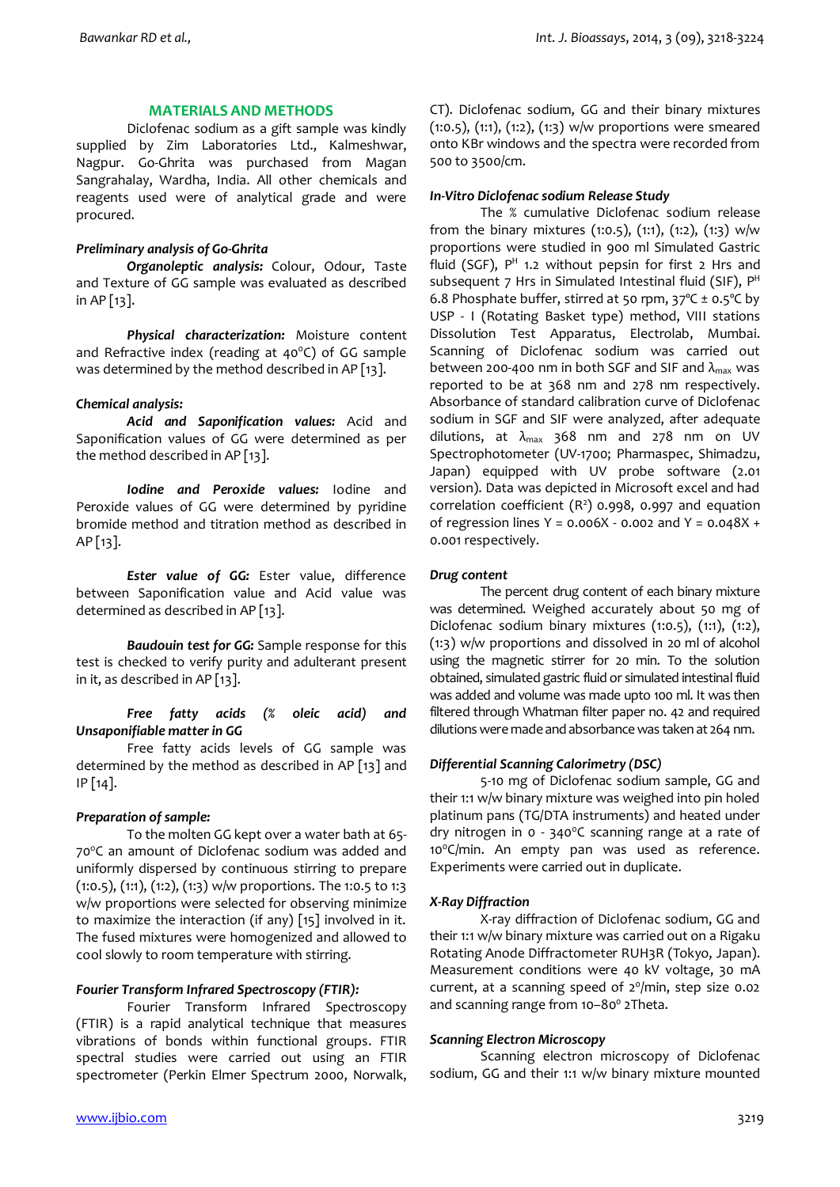### **MATERIALS AND METHODS**

Diclofenac sodium as a gift sample was kindly supplied by Zim Laboratories Ltd., Kalmeshwar, Nagpur. Go-Ghrita was purchased from Magan Sangrahalay, Wardha, India. All other chemicals and reagents used were of analytical grade and were procured.

## *Preliminary analysis of Go-Ghrita*

*Organoleptic analysis:* Colour, Odour, Taste and Texture of GG sample was evaluated as described in AP [13].

*Physical characterization:* Moisture content and Refractive index (reading at  $40^{\circ}$ C) of GG sample was determined by the method described in AP [13].

### *Chemical analysis:*

*Acid and Saponification values:* Acid and Saponification values of GG were determined as per the method described in AP [13].

*Iodine and Peroxide values:* Iodine and Peroxide values of GG were determined by pyridine bromide method and titration method as described in  $AP[13]$ .

*Ester value of GG:* Ester value, difference between Saponification value and Acid value was determined as described in AP [13].

*Baudouin test for GG:* Sample response for this test is checked to verify purity and adulterant present in it, as described in AP [13].

### *Free fatty acids (% oleic acid) and Unsaponifiable matter in GG*

 Free fatty acids levels of GG sample was determined by the method as described in AP [13] and IP [14].

# *Preparation of sample:*

To the molten GG kept over a water bath at 65- 70°C an amount of Diclofenac sodium was added and uniformly dispersed by continuous stirring to prepare (1:0.5), (1:1), (1:2), (1:3) w/w proportions. The 1:0.5 to 1:3 w/w proportions were selected for observing minimize to maximize the interaction (if any) [15] involved in it. The fused mixtures were homogenized and allowed to cool slowly to room temperature with stirring.

# *Fourier Transform Infrared Spectroscopy (FTIR):*

Fourier Transform Infrared Spectroscopy (FTIR) is a rapid analytical technique that measures vibrations of bonds within functional groups. FTIR spectral studies were carried out using an FTIR spectrometer (Perkin Elmer Spectrum 2000, Norwalk,

CT). Diclofenac sodium, GG and their binary mixtures  $(1:0.5)$ ,  $(1:1)$ ,  $(1:2)$ ,  $(1:3)$  w/w proportions were smeared onto KBr windows and the spectra were recorded from 500 to 3500/cm.

### *In-Vitro Diclofenac sodium Release Study*

The % cumulative Diclofenac sodium release from the binary mixtures (1:0.5), (1:1), (1:2), (1:3) w/w proportions were studied in 900 ml Simulated Gastric fluid (SGF),  $P^H$  1.2 without pepsin for first 2 Hrs and subsequent 7 Hrs in Simulated Intestinal fluid (SIF), P<sup>H</sup> 6.8 Phosphate buffer, stirred at 50 rpm,  $37^{\circ}$ C ± 0.5 $^{\circ}$ C by USP - I (Rotating Basket type) method, VIII stations Dissolution Test Apparatus, Electrolab, Mumbai. Scanning of Diclofenac sodium was carried out between 200-400 nm in both SGF and SIF and  $\lambda_{\text{max}}$  was reported to be at 368 nm and 278 nm respectively. Absorbance of standard calibration curve of Diclofenac sodium in SGF and SIF were analyzed, after adequate dilutions, at  $\lambda_{\text{max}}$  368 nm and 278 nm on UV Spectrophotometer (UV-1700; Pharmaspec, Shimadzu, Japan) equipped with UV probe software (2.01 version). Data was depicted in Microsoft excel and had correlation coefficient  $(R^2)$  0.998, 0.997 and equation of regression lines  $Y = 0.006X - 0.002$  and  $Y = 0.048X +$ 0.001 respectively.

### *Drug content*

The percent drug content of each binary mixture was determined. Weighed accurately about 50 mg of Diclofenac sodium binary mixtures (1:0.5), (1:1), (1:2), (1:3) w/w proportions and dissolved in 20 ml of alcohol using the magnetic stirrer for 20 min. To the solution obtained, simulated gastric fluid or simulated intestinal fluid was added and volume was made upto 100 ml. It was then filtered through Whatman filter paper no. 42 and required dilutions were made and absorbance was taken at 264 nm.

# *Differential Scanning Calorimetry (DSC)*

 5-10 mg of Diclofenac sodium sample, GG and their 1:1 w/w binary mixture was weighed into pin holed platinum pans (TG/DTA instruments) and heated under dry nitrogen in  $o$  - 340°C scanning range at a rate of  $10^{\circ}$ C/min. An empty pan was used as reference. Experiments were carried out in duplicate.

# *X-Ray Diffraction*

 X-ray diffraction of Diclofenac sodium, GG and their 1:1 w/w binary mixture was carried out on a Rigaku Rotating Anode Diffractometer RUH3R (Tokyo, Japan). Measurement conditions were 40 kV voltage, 30 mA current, at a scanning speed of  $2^{\circ}/\text{min}$ , step size 0.02 and scanning range from 10-80° 2Theta.

# *Scanning Electron Microscopy*

Scanning electron microscopy of Diclofenac sodium, GG and their 1:1 w/w binary mixture mounted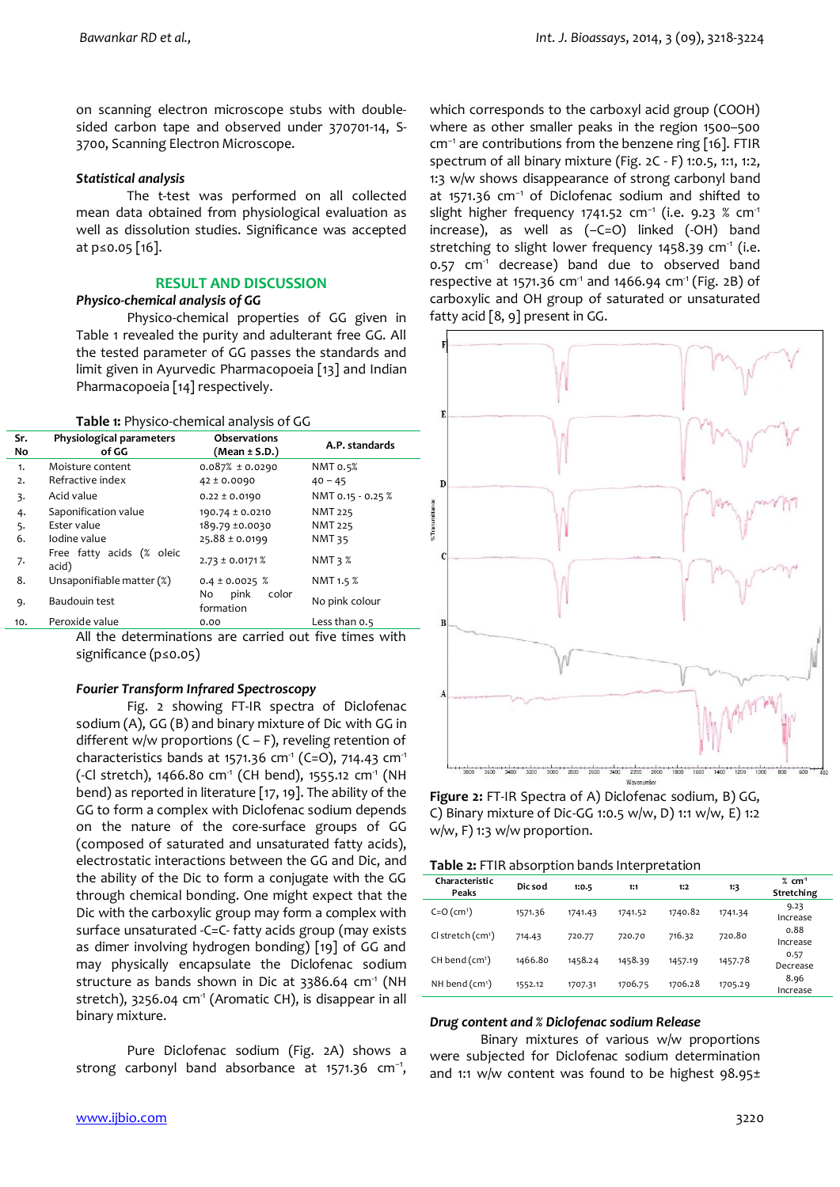on scanning electron microscope stubs with doublesided carbon tape and observed under 370701-14, S-3700, Scanning Electron Microscope.

### *Statistical analysis*

 The t-test was performed on all collected mean data obtained from physiological evaluation as well as dissolution studies. Significance was accepted at p≤0.05 [16].

### **RESULT AND DISCUSSION**

# *Physico-chemical analysis of GG*

Physico-chemical properties of GG given in Table 1 revealed the purity and adulterant free GG. All the tested parameter of GG passes the standards and limit given in Ayurvedic Pharmacopoeia [13] and Indian Pharmacopoeia [14] respectively.

| Table 1: Physico-chemical analysis of GG |  |  |
|------------------------------------------|--|--|
|------------------------------------------|--|--|

| Sr.<br>No | Physiological parameters<br>of GG  | <b>Observations</b><br>(Mean ± S.D.) |                   |
|-----------|------------------------------------|--------------------------------------|-------------------|
| 1.        | Moisture content                   | $0.087% \pm 0.0290$                  | NMT 0.5%          |
| 2.        | Refractive index                   | $42 \pm 0.0090$                      | $40 - 45$         |
| 3.        | Acid value                         | $0.22 \pm 0.0190$                    | NMT 0.15 - 0.25 % |
| 4.        | Saponification value               | 190.74 ± 0.0210                      | <b>NMT 225</b>    |
| 5.        | Ester value                        | 189.79 ±0.0030                       | <b>NMT 225</b>    |
| 6.        | Iodine value                       | $25.88 \pm 0.0199$                   | <b>NMT 35</b>     |
| 7.        | Free fatty acids (% oleic<br>acid) | $2.73 \pm 0.0171$ %                  | NMT $3\%$         |
| 8.        | Unsaponifiable matter (%)          | $0.4 \pm 0.0025$ %                   | NMT 1.5 %         |
| 9.        | Baudouin test                      | pink<br>No<br>color<br>formation     | No pink colour    |
| 10.       | Peroxide value                     | 0.00                                 | Less than 0.5     |

All the determinations are carried out five times with significance (p≤0.05)

### *Fourier Transform Infrared Spectroscopy*

Fig. 2 showing FT-IR spectra of Diclofenac sodium (A), GG (B) and binary mixture of Dic with GG in different w/w proportions  $(C - F)$ , reveling retention of characteristics bands at 1571.36 cm<sup>-1</sup> (C=O), 714.43 cm<sup>-1</sup> (-Cl stretch), 1466.80 cm<sup>-1</sup> (CH bend), 1555.12 cm<sup>-1</sup> (NH bend) as reported in literature [17, 19]. The ability of the GG to form a complex with Diclofenac sodium depends on the nature of the core-surface groups of GG (composed of saturated and unsaturated fatty acids), electrostatic interactions between the GG and Dic, and the ability of the Dic to form a conjugate with the GG through chemical bonding. One might expect that the Dic with the carboxylic group may form a complex with surface unsaturated -C=C- fatty acids group (may exists as dimer involving hydrogen bonding) [19] of GG and may physically encapsulate the Diclofenac sodium structure as bands shown in Dic at  $3386.64$  cm<sup>-1</sup> (NH stretch),  $3256.04$  cm<sup>-1</sup> (Aromatic CH), is disappear in all binary mixture.

Pure Diclofenac sodium (Fig. 2A) shows a strong carbonyl band absorbance at 1571.36 cm<sup>-1</sup>,

which corresponds to the carboxyl acid group (COOH) where as other smaller peaks in the region 1500–500 cm−1 are contributions from the benzene ring [16]. FTIR spectrum of all binary mixture (Fig. 2C - F) 1:0.5, 1:1, 1:2, 1:3 w/w shows disappearance of strong carbonyl band at 1571.36 cm−1 of Diclofenac sodium and shifted to slight higher frequency 1741.52 cm<sup>-1</sup> (i.e. 9.23 % cm<sup>-1</sup> increase), as well as (–C=O) linked (-OH) band stretching to slight lower frequency 1458.39  $cm<sup>-1</sup>$  (i.e. 0.57 cm<sup>-1</sup> decrease) band due to observed band respective at 1571.36 cm<sup>-1</sup> and 1466.94 cm<sup>-1</sup> (Fig. 2B) of carboxylic and OH group of saturated or unsaturated fatty acid [8, 9] present in GG.



**Figure 2:** FT-IR Spectra of A) Diclofenac sodium, B) GG, C) Binary mixture of Dic-GG 1:0.5 w/w, D) 1:1 w/w, E) 1:2 w/w, F) 1:3 w/w proportion.

| Characteristic<br>Peaks | Dic sod | 1:0.5   | 1:1     | 1:2     | 1:3     | $%$ cm <sup>-1</sup><br>Stretching |
|-------------------------|---------|---------|---------|---------|---------|------------------------------------|
| $C = O (cm1)$           | 1571.36 | 1741.43 | 1741.52 | 1740.82 | 1741.34 | 9.23<br>Increase                   |
| $Cl$ stretch $(cm1)$    | 714.43  | 720.77  | 720.70  | 716.32  | 720.80  | 0.88<br>Increase                   |
| $CH$ bend $(cm1)$       | 1466.80 | 1458.24 | 1458.39 | 1457.19 | 1457.78 | 0.57<br>Decrease                   |
| NH bend $(cm1)$         | 1552.12 | 1707.31 | 1706.75 | 1706.28 | 1705.29 | 8.96<br>Increase                   |

#### *Drug content and % Diclofenac sodium Release*

Binary mixtures of various w/w proportions were subjected for Diclofenac sodium determination and 1:1 w/w content was found to be highest 98.95±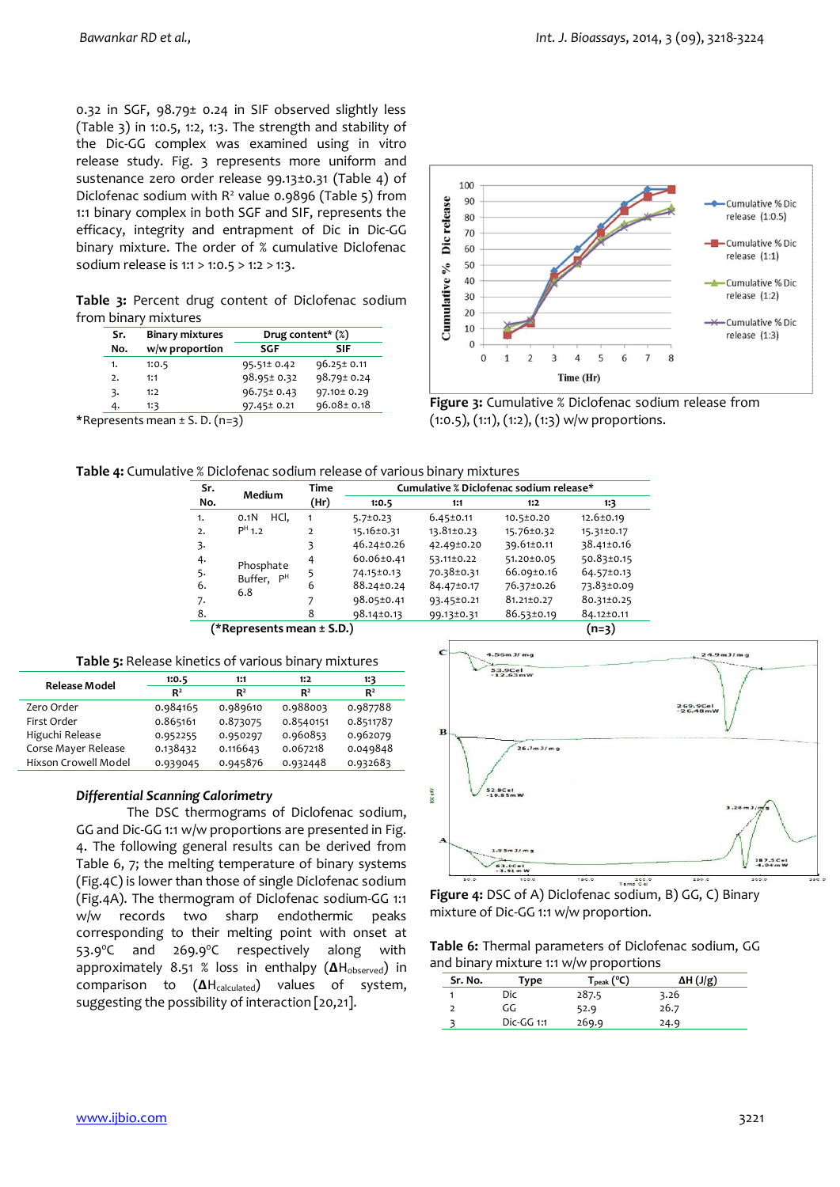0.32 in SGF, 98.79± 0.24 in SIF observed slightly less (Table 3) in 1:0.5, 1:2, 1:3. The strength and stability of the Dic-GG complex was examined using in vitro release study. Fig. 3 represents more uniform and sustenance zero order release 99.13±0.31 (Table 4) of Diclofenac sodium with  $R^2$  value 0.9896 (Table 5) from 1:1 binary complex in both SGF and SIF, represents the efficacy, integrity and entrapment of Dic in Dic-GG binary mixture. The order of % cumulative Diclofenac sodium release is 1:1 > 1:0.5 > 1:2 > 1:3.

Table 3: Percent drug content of Diclofenac sodium from binary mixtures

| Sr.            | <b>Binary mixtures</b> | Drug content* (%) |                  |  |  |
|----------------|------------------------|-------------------|------------------|--|--|
| No.            | w/w proportion         | SGF               | SIF              |  |  |
| 1.             | 1:0.5                  | 95.51± 0.42       | $96.25 \pm 0.11$ |  |  |
| $\overline{2}$ | 1:1                    | 98.95± 0.32       | 98.79± 0.24      |  |  |
| 3.             | 1:2                    | $96.75 \pm 0.43$  | 97.10± 0.29      |  |  |
| 4.             | 1:3                    | 97.45± 0.21       | $96.08 \pm 0.18$ |  |  |
|                | $\sim$ $\sim$<br>. .   |                   |                  |  |  |

**\***Represents mean ± S. D. (n=3)



**Figure 3:** Cumulative % Diclofenac sodium release from (1:0.5), (1:1), (1:2), (1:3) w/w proportions.

| Table 4: Cumulative % Diclofenac sodium release of various binary mixtures |  |
|----------------------------------------------------------------------------|--|
|----------------------------------------------------------------------------|--|

| Sr.                                  | Medium                   | Time           | Cumulative % Diclofenac sodium release* |                 |            |            |  |  |
|--------------------------------------|--------------------------|----------------|-----------------------------------------|-----------------|------------|------------|--|--|
| No.                                  |                          | (Hr)           | 1:0.5                                   | 1:1             | 1:2        | 1:3        |  |  |
| 1.                                   | HCI.<br>0.1 <sub>N</sub> | 1              | $5.7 \pm 0.23$                          | $6.45 \pm 0.11$ | 10.5±0.20  | 12.6±0.19  |  |  |
| $\overline{2}$                       | $PH$ 1.2                 | $\overline{2}$ | 15.16±0.31                              | 13.81±0.23      | 15.76±0.32 | 15.31±0.17 |  |  |
| 3.                                   |                          | 3              | 46.24±0.26                              | 42.49±0.20      | 39.61±0.11 | 38.41±0.16 |  |  |
| 4.                                   | Phosphate                | 4              | 60.06±0.41                              | 53.11±0.22      | 51.20±0.05 | 50.83±0.15 |  |  |
| 5.                                   | Buffer, P <sup>H</sup>   | 5              | 74.15±0.13                              | 70.38±0.31      | 66.09±0.16 | 64.57±0.13 |  |  |
| 6.                                   | 6.8                      | 6              | 88.24±0.24                              | 84.47±0.17      | 76.37±0.26 | 73.83±0.09 |  |  |
| 7.                                   |                          |                | 98.05±0.41                              | 93.45±0.21      | 81.21±0.27 | 80.31±0.25 |  |  |
| 8.                                   |                          | 8              | 98.14±0.13                              | 99.13±0.31      | 86.53±0.19 | 84.12±0.11 |  |  |
| $(n=3)$<br>(*Represents mean ± S.D.) |                          |                |                                         |                 |            |            |  |  |

**Table 5:** Release kinetics of various binary mixtures

| <b>Release Model</b> | 1:0.5          | 1:1            | 1:2            | 1:3            |
|----------------------|----------------|----------------|----------------|----------------|
|                      | R <sup>2</sup> | R <sup>2</sup> | R <sup>2</sup> | R <sup>2</sup> |
| Zero Order           | 0.984165       | 0.989610       | 0.988003       | 0.987788       |
| First Order          | 0.865161       | 0.873075       | 0.8540151      | 0.8511787      |
| Higuchi Release      | 0.952255       | 0.950297       | 0.960853       | 0.962079       |
| Corse Mayer Release  | 0.138432       | 0.116643       | 0.067218       | 0.049848       |
| Hixson Crowell Model | 0.939045       | 0.945876       | 0.932448       | 0.932683       |
|                      |                |                |                |                |

# *Differential Scanning Calorimetry*

 The DSC thermograms of Diclofenac sodium, GG and Dic-GG 1:1 w/w proportions are presented in Fig. 4. The following general results can be derived from Table 6, 7; the melting temperature of binary systems (Fig.4C) is lower than those of single Diclofenac sodium (Fig.4A). The thermogram of Diclofenac sodium-GG 1:1 w/w records two sharp endothermic peaks corresponding to their melting point with onset at 53.9<sup>o</sup>C and 269.9<sup>o</sup>C respectively along with approximately 8.51 % loss in enthalpy ( $\Delta H_{observed}$ ) in comparison to (ΔH<sub>calculated</sub>) values of system, suggesting the possibility of interaction [20,21].



**Figure 4:** DSC of A) Diclofenac sodium, B) GG, C) Binary mixture of Dic-GG 1:1 w/w proportion.

**Table 6:** Thermal parameters of Diclofenac sodium, GG and binary mixture 1:1 w/w proportions

| Sr. No. | Type       | $T_{\rm peak}$ (°C) | $\Delta H$ (J/g) |
|---------|------------|---------------------|------------------|
|         | Dic        | 287.5               | 3.26             |
|         | GG         | 52.9                | 26.7             |
|         | Dic-GG 1:1 | 269.9               | 24.9             |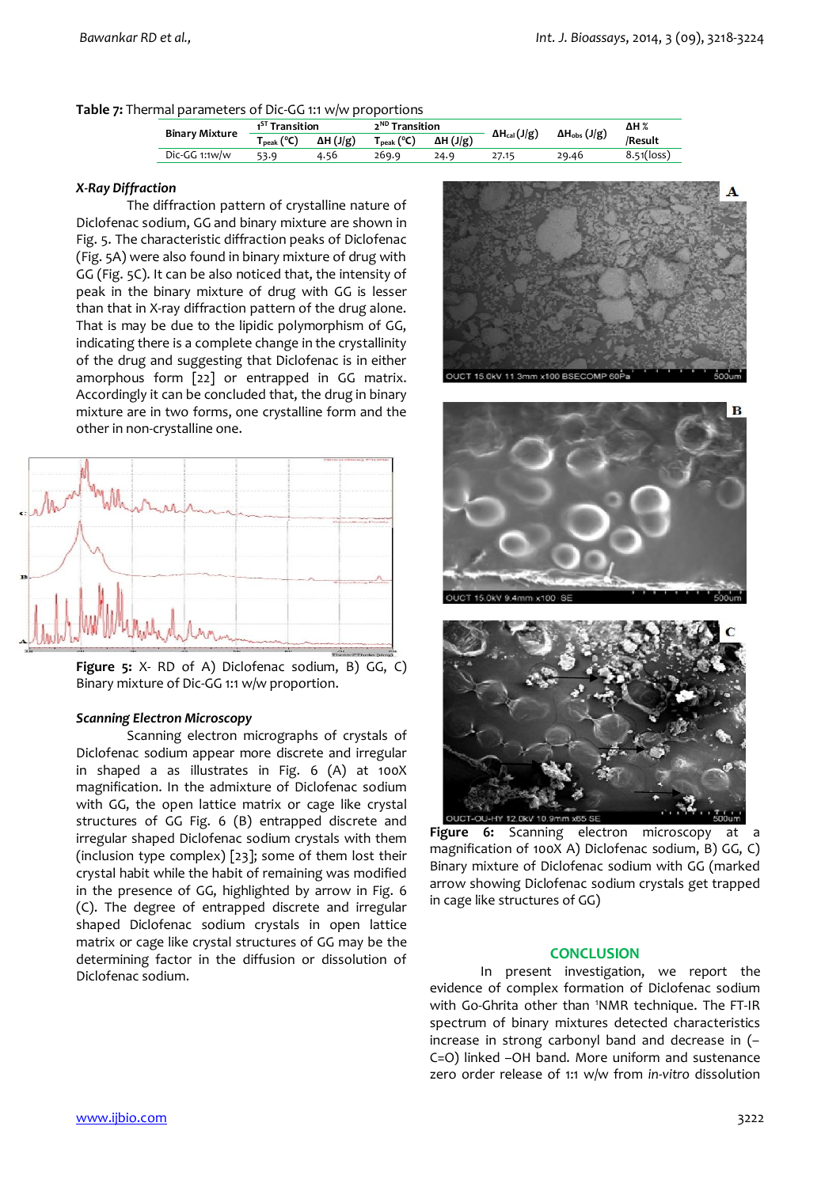### **Table 7:** Thermal parameters of Dic-GG 1:1 w/w proportions

| <b>Binary Mixture</b> | 1 <sup>5T</sup> Transition |                  | 2 <sup>ND</sup> Transition |                  | $\Delta H_{\rm obs}$ (J/g)<br>$\Delta H_{cal}(J/g)$ | ΔH %  |                           |
|-----------------------|----------------------------|------------------|----------------------------|------------------|-----------------------------------------------------|-------|---------------------------|
|                       | (°C)<br>peak               | $\Delta H$ (J/g) | $T_{\rm peak}$ (°C)        | $\Delta H (J/g)$ |                                                     |       | /Result                   |
| $Dic-GG$ 1:1 $w/w$    | 53.9                       | 4.56             | 269.9                      | 24.9             | 27.15                                               | 29.46 | $8.51($ loss <sup>)</sup> |

#### *X-Ray Diffraction*

The diffraction pattern of crystalline nature of Diclofenac sodium, GG and binary mixture are shown in Fig. 5. The characteristic diffraction peaks of Diclofenac (Fig. 5A) were also found in binary mixture of drug with GG (Fig. 5C). It can be also noticed that, the intensity of peak in the binary mixture of drug with GG is lesser than that in X-ray diffraction pattern of the drug alone. That is may be due to the lipidic polymorphism of GG, indicating there is a complete change in the crystallinity of the drug and suggesting that Diclofenac is in either amorphous form [22] or entrapped in GG matrix. Accordingly it can be concluded that, the drug in binary mixture are in two forms, one crystalline form and the other in non-crystalline one.



**Figure 5:** X- RD of A) Diclofenac sodium, B) GG, C) Binary mixture of Dic-GG 1:1 w/w proportion.

### *Scanning Electron Microscopy*

 Scanning electron micrographs of crystals of Diclofenac sodium appear more discrete and irregular in shaped a as illustrates in Fig. 6 (A) at 100X magnification. In the admixture of Diclofenac sodium with GG, the open lattice matrix or cage like crystal structures of GG Fig. 6 (B) entrapped discrete and irregular shaped Diclofenac sodium crystals with them (inclusion type complex) [23]; some of them lost their crystal habit while the habit of remaining was modified in the presence of GG, highlighted by arrow in Fig. 6 (C). The degree of entrapped discrete and irregular shaped Diclofenac sodium crystals in open lattice matrix or cage like crystal structures of GG may be the determining factor in the diffusion or dissolution of Diclofenac sodium.





**Figure 6:** Scanning electron microscopy at a magnification of 100X A) Diclofenac sodium, B) GG, C) Binary mixture of Diclofenac sodium with GG (marked arrow showing Diclofenac sodium crystals get trapped in cage like structures of GG)

#### **CONCLUSION**

 In present investigation, we report the evidence of complex formation of Diclofenac sodium with Go-Ghrita other than 'NMR technique. The FT-IR spectrum of binary mixtures detected characteristics increase in strong carbonyl band and decrease in (– C=O) linked –OH band. More uniform and sustenance zero order release of 1:1 w/w from *in-vitro* dissolution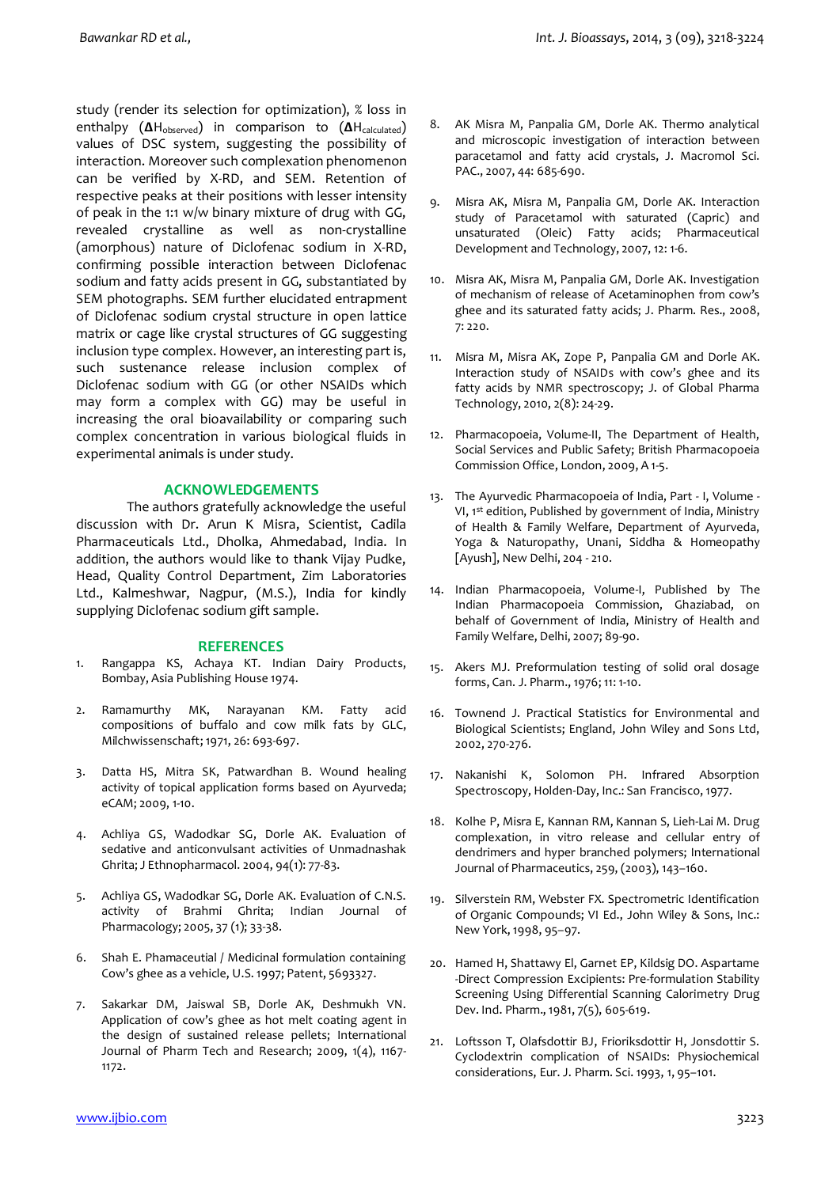study (render its selection for optimization), % loss in enthalpy (ΔH<sub>observed</sub>) in comparison to (ΔH<sub>calculated</sub>) values of DSC system, suggesting the possibility of interaction. Moreover such complexation phenomenon can be verified by X-RD, and SEM. Retention of respective peaks at their positions with lesser intensity of peak in the 1:1 w/w binary mixture of drug with GG, revealed crystalline as well as non-crystalline (amorphous) nature of Diclofenac sodium in X-RD, confirming possible interaction between Diclofenac sodium and fatty acids present in GG, substantiated by SEM photographs. SEM further elucidated entrapment of Diclofenac sodium crystal structure in open lattice matrix or cage like crystal structures of GG suggesting inclusion type complex. However, an interesting part is, such sustenance release inclusion complex of Diclofenac sodium with GG (or other NSAIDs which may form a complex with GG) may be useful in increasing the oral bioavailability or comparing such complex concentration in various biological fluids in experimental animals is under study.

# **ACKNOWLEDGEMENTS**

The authors gratefully acknowledge the useful discussion with Dr. Arun K Misra, Scientist, Cadila Pharmaceuticals Ltd., Dholka, Ahmedabad, India. In addition, the authors would like to thank Vijay Pudke, Head, Quality Control Department, Zim Laboratories Ltd., Kalmeshwar, Nagpur, (M.S.), India for kindly supplying Diclofenac sodium gift sample.

#### **REFERENCES**

- 1. Rangappa KS, Achaya KT. Indian Dairy Products, Bombay, Asia Publishing House 1974.
- 2. Ramamurthy MK, Narayanan KM. Fatty acid compositions of buffalo and cow milk fats by GLC, Milchwissenschaft; 1971, 26: 693-697.
- 3. Datta HS, Mitra SK, Patwardhan B. Wound healing activity of topical application forms based on Ayurveda; eCAM; 2009, 1-10.
- 4. Achliya GS, Wadodkar SG, Dorle AK. Evaluation of sedative and anticonvulsant activities of Unmadnashak Ghrita; J Ethnopharmacol. 2004, 94(1): 77-83.
- 5. Achliya GS, Wadodkar SG, Dorle AK. Evaluation of C.N.S. activity of Brahmi Ghrita; Indian Journal of Pharmacology; 2005, 37 (1); 33-38.
- 6. Shah E. Phamaceutial / Medicinal formulation containing Cow's ghee as a vehicle, U.S. 1997; Patent, 5693327.
- 7. Sakarkar DM, Jaiswal SB, Dorle AK, Deshmukh VN. Application of cow's ghee as hot melt coating agent in the design of sustained release pellets; International Journal of Pharm Tech and Research; 2009, 1(4), 1167- 1172.
- 8. AK Misra M, Panpalia GM, Dorle AK. Thermo analytical and microscopic investigation of interaction between paracetamol and fatty acid crystals, J. Macromol Sci. PAC., 2007, 44: 685-690.
- 9. Misra AK, Misra M, Panpalia GM, Dorle AK. Interaction study of Paracetamol with saturated (Capric) and unsaturated (Oleic) Fatty acids; Pharmaceutical Development and Technology, 2007, 12: 1-6.
- 10. Misra AK, Misra M, Panpalia GM, Dorle AK. Investigation of mechanism of release of Acetaminophen from cow's ghee and its saturated fatty acids; J. Pharm. Res., 2008, 7: 220.
- 11. Misra M, Misra AK, Zope P, Panpalia GM and Dorle AK. Interaction study of NSAIDs with cow's ghee and its fatty acids by NMR spectroscopy; J. of Global Pharma Technology, 2010, 2(8): 24-29.
- 12. Pharmacopoeia, Volume-II, The Department of Health, Social Services and Public Safety; British Pharmacopoeia Commission Office, London, 2009, A 1-5.
- 13. The Ayurvedic Pharmacopoeia of India, Part I, Volume VI, 1st edition, Published by government of India, Ministry of Health & Family Welfare, Department of Ayurveda, Yoga & Naturopathy, Unani, Siddha & Homeopathy [Ayush], New Delhi, 204 - 210.
- 14. Indian Pharmacopoeia, Volume-I, Published by The Indian Pharmacopoeia Commission, Ghaziabad, on behalf of Government of India, Ministry of Health and Family Welfare, Delhi, 2007; 89-90.
- 15. Akers MJ. Preformulation testing of solid oral dosage forms, Can. J. Pharm., 1976; 11: 1-10.
- 16. Townend J. Practical Statistics for Environmental and Biological Scientists; England, John Wiley and Sons Ltd, 2002, 270-276.
- 17. Nakanishi K, Solomon PH. Infrared Absorption Spectroscopy, Holden-Day, Inc.: San Francisco, 1977.
- 18. Kolhe P, Misra E, Kannan RM, Kannan S, Lieh-Lai M. Drug complexation, in vitro release and cellular entry of dendrimers and hyper branched polymers; International Journal of Pharmaceutics, 259, (2003), 143–160.
- 19. Silverstein RM, Webster FX. Spectrometric Identification of Organic Compounds; VI Ed., John Wiley & Sons, Inc.: New York, 1998, 95–97.
- 20. Hamed H, Shattawy El, Garnet EP, Kildsig DO. Aspartame -Direct Compression Excipients: Pre-formulation Stability Screening Using Differential Scanning Calorimetry Drug Dev. Ind. Pharm., 1981, 7(5), 605-619.
- 21. Loftsson T, Olafsdottir BJ, Frioriksdottir H, Jonsdottir S. Cyclodextrin complication of NSAIDs: Physiochemical considerations, Eur. J. Pharm. Sci. 1993, 1, 95–101.